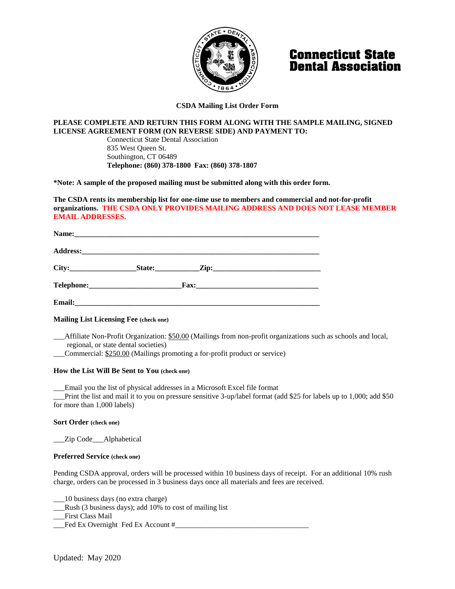

# **Connecticut State Dental Association**

### **CSDA Mailing List Order Form**

## **PLEASE COMPLETE AND RETURN THIS FORM ALONG WITH THE SAMPLE MAILING, SIGNED LICENSE AGREEMENT FORM (ON REVERSE SIDE) AND PAYMENT TO:**

Connecticut State Dental Association 835 West Queen St. Southington, CT 06489 **Telephone: (860) 378-1800 Fax: (860) 378-1807**

**\*Note: A sample of the proposed mailing must be submitted along with this order form.**

**The CSDA rents its membership list for one-time use to members and commercial and not-for-profit organizations. THE CSDA ONLY PROVIDES MAILING ADDRESS AND DOES NOT LEASE MEMBER EMAIL ADDRESSES.**

#### **Mailing List Licensing Fee (check one)**

\_\_\_Affiliate Non-Profit Organization: \$50.00 (Mailings from non-profit organizations such as schools and local, regional, or state dental societies)

\_\_\_Commercial: \$250.00 (Mailings promoting a for-profit product or service)

#### **How the List Will Be Sent to You (check one)**

\_\_\_Email you the list of physical addresses in a Microsoft Excel file format

\_\_\_Print the list and mail it to you on pressure sensitive 3-up/label format (add \$25 for labels up to 1,000; add \$50 for more than 1,000 labels)

#### **Sort Order (check one)**

Zip Code Alphabetical

#### **Preferred Service (check one)**

Pending CSDA approval, orders will be processed within 10 business days of receipt. For an additional 10% rush charge, orders can be processed in 3 business days once all materials and fees are received.

\_\_\_10 business days (no extra charge)

\_\_\_Rush (3 business days); add 10% to cost of mailing list

\_\_\_First Class Mail

Fed Ex Overnight Fed Ex Account #